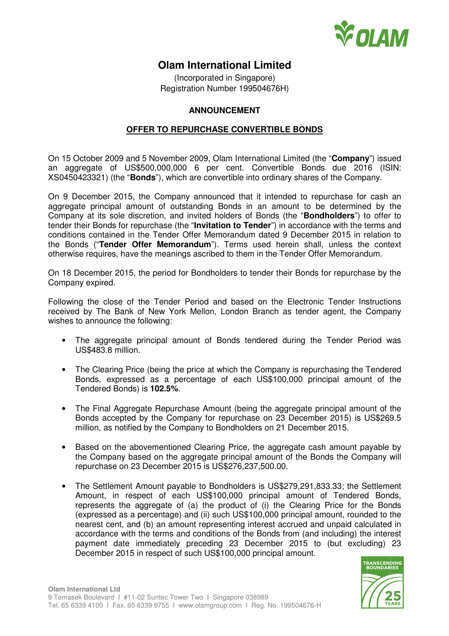

## **Olam International Limited**

(Incorporated in Singapore) Registration Number 199504676H)

## **ANNOUNCEMENT**

## **OFFER TO REPURCHASE CONVERTIBLE BONDS**

On 15 October 2009 and 5 November 2009, Olam International Limited (the "**Company**") issued an aggregate of US\$500,000,000 6 per cent. Convertible Bonds due 2016 (ISIN: XS0450423321) (the "**Bonds**"), which are convertible into ordinary shares of the Company.

On 9 December 2015, the Company announced that it intended to repurchase for cash an aggregate principal amount of outstanding Bonds in an amount to be determined by the Company at its sole discretion, and invited holders of Bonds (the "**Bondholders**") to offer to tender their Bonds for repurchase (the "**Invitation to Tender**") in accordance with the terms and conditions contained in the Tender Offer Memorandum dated 9 December 2015 in relation to the Bonds ("**Tender Offer Memorandum**"). Terms used herein shall, unless the context otherwise requires, have the meanings ascribed to them in the Tender Offer Memorandum.

On 18 December 2015, the period for Bondholders to tender their Bonds for repurchase by the Company expired.

Following the close of the Tender Period and based on the Electronic Tender Instructions received by The Bank of New York Mellon, London Branch as tender agent, the Company wishes to announce the following:

- The aggregate principal amount of Bonds tendered during the Tender Period was US\$483.8 million.
- The Clearing Price (being the price at which the Company is repurchasing the Tendered Bonds, expressed as a percentage of each US\$100,000 principal amount of the Tendered Bonds) is **102.5%**.
- The Final Aggregate Repurchase Amount (being the aggregate principal amount of the Bonds accepted by the Company for repurchase on 23 December 2015) is US\$269.5 million, as notified by the Company to Bondholders on 21 December 2015.
- Based on the abovementioned Clearing Price, the aggregate cash amount payable by the Company based on the aggregate principal amount of the Bonds the Company will repurchase on 23 December 2015 is US\$276,237,500.00.
- The Settlement Amount payable to Bondholders is US\$279,291,833.33; the Settlement Amount, in respect of each US\$100,000 principal amount of Tendered Bonds, represents the aggregate of (a) the product of (i) the Clearing Price for the Bonds (expressed as a percentage) and (ii) such US\$100,000 principal amount, rounded to the nearest cent, and (b) an amount representing interest accrued and unpaid calculated in accordance with the terms and conditions of the Bonds from (and including) the interest payment date immediately preceding 23 December 2015 to (but excluding) 23 December 2015 in respect of such US\$100,000 principal amount.

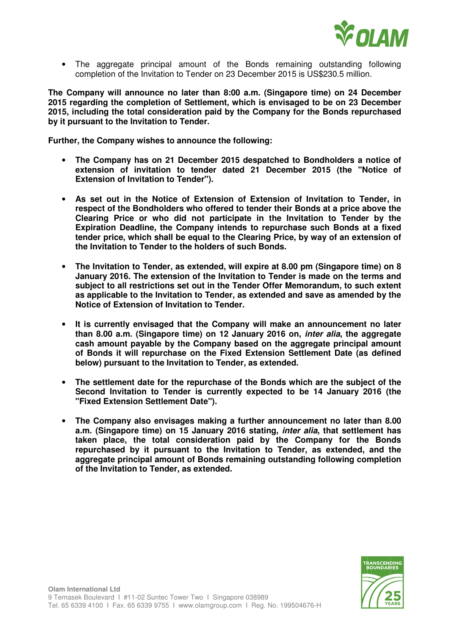

• The aggregate principal amount of the Bonds remaining outstanding following completion of the Invitation to Tender on 23 December 2015 is US\$230.5 million.

**The Company will announce no later than 8:00 a.m. (Singapore time) on 24 December 2015 regarding the completion of Settlement, which is envisaged to be on 23 December 2015, including the total consideration paid by the Company for the Bonds repurchased by it pursuant to the Invitation to Tender.** 

**Further, the Company wishes to announce the following:** 

- **The Company has on 21 December 2015 despatched to Bondholders a notice of extension of invitation to tender dated 21 December 2015 (the "Notice of Extension of Invitation to Tender").**
- **As set out in the Notice of Extension of Extension of Invitation to Tender, in respect of the Bondholders who offered to tender their Bonds at a price above the Clearing Price or who did not participate in the Invitation to Tender by the Expiration Deadline, the Company intends to repurchase such Bonds at a fixed tender price, which shall be equal to the Clearing Price, by way of an extension of the Invitation to Tender to the holders of such Bonds.**
- **The Invitation to Tender, as extended, will expire at 8.00 pm (Singapore time) on 8 January 2016. The extension of the Invitation to Tender is made on the terms and subject to all restrictions set out in the Tender Offer Memorandum, to such extent as applicable to the Invitation to Tender, as extended and save as amended by the Notice of Extension of Invitation to Tender.**
- **It is currently envisaged that the Company will make an announcement no later than 8.00 a.m. (Singapore time) on 12 January 2016 on, inter alia, the aggregate cash amount payable by the Company based on the aggregate principal amount of Bonds it will repurchase on the Fixed Extension Settlement Date (as defined below) pursuant to the Invitation to Tender, as extended.**
- **The settlement date for the repurchase of the Bonds which are the subject of the Second Invitation to Tender is currently expected to be 14 January 2016 (the "Fixed Extension Settlement Date").**
- **The Company also envisages making a further announcement no later than 8.00 a.m. (Singapore time) on 15 January 2016 stating, inter alia, that settlement has taken place, the total consideration paid by the Company for the Bonds repurchased by it pursuant to the Invitation to Tender, as extended, and the aggregate principal amount of Bonds remaining outstanding following completion of the Invitation to Tender, as extended.**